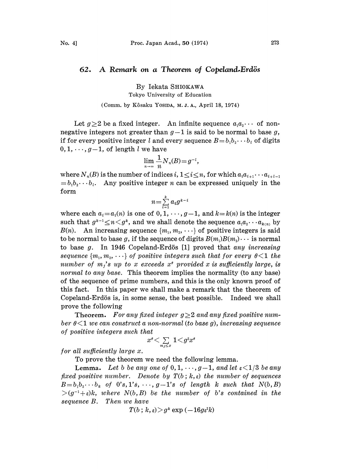## 62. A Remark on a Theorem of Copeland. Erdös

By Iekata SHIOKAWA

Tokyo University of Education

(Comm. by Kôsaku Yosipa, M.J.A., April 18, 1974)

Let  $g\geq 2$  be a fixed integer. An infinite sequence  $a_1a_2\cdots$  of nonnegative integers not greater than  $g-1$  is said to be normal to base g, if for every positive integer l and every sequence  $B=b_1b_2\cdots b_l$  of digits.  $0, 1, \dots, g-1$ , of length l we have

$$
\lim_{n\to\infty}\frac{1}{n}N_n(B)=g^{-1},
$$

where  $N_n(B)$  is the number of indices i,  $1 \le i \le n$ , for which  $a_i a_{i+1} \cdots a_{i+l-1}$  $= b_1 b_2 \cdots b_l$ . Any positive integer n can be expressed uniquely in the form

$$
n\!=\!\sum\limits_{i=1}^k a_i g^{k-i}
$$

where each  $a_i = a_i(n)$  is one of  $0, 1, \dots, g-1$ , and  $k = k(n)$  is the integer such that  $g^{k-1} \leq n \leq g^k$ , and we shall denote the sequence  $a_1 a_2 \cdots a_{k(n)}$  by  $B(n)$ . An increasing sequence  $\{m_1, m_2, \cdots\}$  of positive integers is said to be normal to base g, if the sequence of digits  $B(m_1)B(m_2)\cdots$  is normal to base  $g$ . In 1946 Copeland-Erdös [1] proved that any increasing sequence  ${m_1, m_2, \dots}$  of positive integers such that for every  $\theta \leq 1$  the number of  $m_j$ 's up to x exceeds  $x^{\rho}$  provided x is sufficiently large, is normal to any base. This theorem implies the normality (to any base) of the sequence of prime numbers, and this is the only known proof of this fact. In this paper we shall make a remark that the theorem of Copeland-Erdös is, in some sense, the best possible. Indeed we shall prove the following

Theorem. For any fixed integer  $g \geq 2$  and any fixed positive number  $\theta \leq 1$  we can construct a non-normal (to base g), increasing sequence of positive integers such that

$$
x^{\scriptscriptstyle{\theta}} \!\leq\! \textstyle\sum\limits_{m_J\leq x} 1\!<\! g^{\scriptscriptstyle{2}} x^{\scriptscriptstyle{\theta}}
$$

for all sufficiently large x.

To prove the theorem we need the following lemma.

**Lemma.** Let b be any one of  $0, 1, \dots, g-1$ , and let  $\epsilon \leq 1/3$  be any fixed positive number. Denote by  $T(b; k, \varepsilon)$  the number of sequences  $B=b_1b_2\cdots b_k$  of  $0's, 1's, \cdots, g-1's$  of length k such that  $N(b, B)$  $>(g^{-1}+\varepsilon)k$ , where  $N(b, B)$  be the number of b's contained in the sequence B. Then we have

 $T(b; k, \varepsilon) > g^k \exp(-16g\varepsilon^2 k)$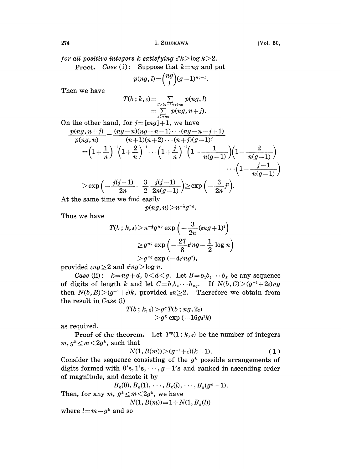for all positive integers k satisfying  $\varepsilon^2 k > \log k > 2$ .

**Proof.** Case (i): Suppose that 
$$
k = ng
$$
 and put

$$
p(ng, l) = {ng \choose l} (g-1)^{ng-l}.
$$

Then we have

$$
T(b ; k, \varepsilon) = \sum_{l > (g-1+i)ng} p(ng, l)
$$
  
= 
$$
\sum_{j > ing} p(ng, n+j).
$$

On the other hand, for  $j=[\varepsilon n g]+1$ , we have  $p(ng, n+j)$   $(ng-n)(ng-n-1)\cdots(ng-n-j+1)$  $p(ng, n)$   $(n+1)(n+2)\cdots(n+j)(g-1)^{j}$  $\cdots \left(1-\frac{j-1}{n(q-1)}\right)$ 

$$
>\exp\Big(-\frac{j(j+1)}{2n}-\frac{3}{2}\,\frac{j(j-1)}{2n(g-1)}\Big)\!\ge\!\exp\Big(-\frac{3}{2n}j^2\Big).
$$

At the same time we find easily

$$
p(ng, n) \! > \! n^{-\frac{1}{2}}g^{ng}.
$$

Thus we have

$$
\begin{aligned} T(b\mathbin{;} k,\varepsilon)\!>\!n^{-\mathbf{i}} g^{nq}\exp\left(-\frac{3}{2n}(\varepsilon n g\!+\!1)^{\!2}\right) \\ \geq& g^{nq}\exp\left(-\frac{27}{8}\varepsilon^2 n g\!-\!\frac{1}{2}\,\log n\right) \\ &>g^{nq}\exp\left(-4\varepsilon^2 n g^2\right), \end{aligned}
$$

provided  $\epsilon n g \geq 2$  and  $\epsilon^2 n g > \log n$ .

Case (ii):  $k=ng+d$ ,  $0 < d < g$ . Let  $B=b_1b_2 \cdots b_k$  be any sequence of digits of length k and let  $C=b_1b_2\cdots b_{ng}$ . If  $N(b,C)>(g^{-1}+2\varepsilon)ng$ then  $N(b, B) > (g^{-1} + \varepsilon)k$ , provided  $\varepsilon n \geq 2$ . Therefore we obtain from the result in Case (i)  $\geq g^d T(b \, ; \, ng, 2\varepsilon)$ 

$$
T(b \,;\, k,\varepsilon) \geq g^a T(b \,;\, ng,2\varepsilon) \\ > g^k \exp\left(-16 g \varepsilon^2 k\right)
$$

as required.

Proof of the theorem. Let  $T^*(1; k, \varepsilon)$  be the number of integers  $m, g^k \leq m \leq 2g^k$ , such that

$$
N(1, B(m)) > (g^{-1} + \varepsilon)(k+1). \tag{1}
$$

Consider the sequence consisting of the  $g^k$  possible arrangements of digits formed with  $0's, 1's, \dots, g-1's$  and ranked in ascending order of magnitude, and denote it by

$$
B_k(0), B_k(1), \dots, B_k(l), \dots, B_k(g^k-1).
$$
  
\n $m, g^k \leq m < 2g^k$ , we have  
\n $N(1, B(m)) = 1 + N(1, B_1(l))$ 

Then, for any m,  $g^k < m < 2g^k$ , we have

$$
N(1, B(m)) = 1 + N(1, B_k(l))
$$

where  $l=m-g^k$  and so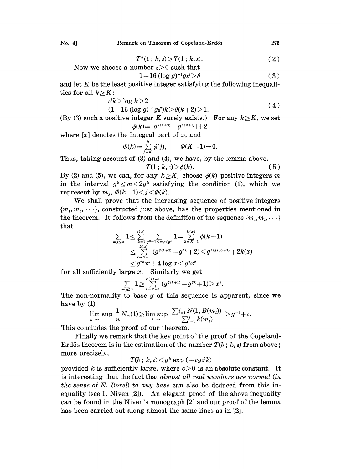No. 
$$
4
$$
]

$$
T^*(1; k, \varepsilon) \geq T(1; k, \varepsilon). \tag{2}
$$

$$
T^*(1; \kappa, \varepsilon) \geq T(1; \kappa, \varepsilon).
$$
 Now we choose a number  $\varepsilon > 0$  such that

$$
1-16\left(\log g\right)^{-1}g\epsilon^2 > \theta\tag{3}
$$

and let  $K$  be the least positive integer satisfying the following inequalities for all  $k\geq K$ :

$$
\varepsilon^2 k > \log k > 2 \tag{4}
$$

$$
(1-16 (\log g)^{-1} g \varepsilon^2) k > \theta(k+2) > 1.
$$
 (4)

(By (3) such a positive integer K surely exists.) For any  $k \geq K$ , we set  $\phi(k) = [g^{\theta(k+2)} - g^{\theta(k+1)}] + 2$ 

where  $[x]$  denotes the integral part of  $x$ , and

$$
\Phi(k) = \sum_{j=K}^{k} \phi(j), \qquad \Phi(K-1) = 0.
$$

Thus, taking account of  $(3)$  and  $(4)$ , we have, by the lemma above,

$$
T(1; k, \varepsilon) > \phi(k). \tag{5}
$$

By (2) and (5), we can, for any  $k\geq K$ , choose  $\phi(k)$  positive integers m in the interval  $g^*\leq m\leq 2g^*$  satisfying the condition (1), which we represent by  $m_j$ ,  $\Phi(k-1) \le j \le \Phi(k)$ .

We shall prove that the increasing sequence of positive integers  ${m_1, m_2, \dots}$ , constructed just above, has the properties mentioned in the theorem. It follows from the definition of the sequence  ${m_1, m_2, \dots}$ that

$$
\sum_{m_j \leq x} 1 \leq \sum_{k=1}^{k(x)} \sum_{q^{k-1} \leq m_j < q^k} 1 = \sum_{k=K+1}^{k(x)} \phi(k-1)
$$
\n
$$
\leq \sum_{k=K+1}^{k(x)} (g^{\theta(k+1)} - g^{\theta k} + 2) < g^{\theta(k(x)+1)} + 2k(x)
$$
\n
$$
\leq g^{2\theta} x^{\theta} + 4 \log x < g^{2} x^{\theta}
$$

for all sufficiently large  $x$ . Similarly we get

$$
\sum_{m_j\leq x} 1 \geq \sum_{k=K+1}^{k(x)-1} (g^{\theta(k+1)}-g^{\theta k}+1) > x^{\theta}.
$$

The non-normality to base g of this sequence is apparent, since we have by (1)

$$
\lim_{n\to\infty}\sup\frac{1}{n}N_n(1)\!\ge\!\limsup_{j\to\infty}\frac{\sum_{i=1}^jN(1,B(m_i))}{\sum_{i=1}^jk(m_i)}>g^{-1}+\varepsilon.
$$

This concludes the proof of our theorem.

 $\lim_{n \to \infty} \sup \frac{1}{n} \sum_{j=1}^N k(m_j)$ <br>concludes the proof of our theorem.<br>Finally we remark that the key point of the proof of the Copeland-Erdös theorem is in the estimation of the number  $T(b; k, \varepsilon)$  from above; more precisely,

 $T(b \,;\, k,\varepsilon) \!<\! g^k \exp{(-c g \varepsilon^2 k)}$ 

provided k is sufficiently large, where  $c > 0$  is an absolute constant. It is interesting that the fact that almost all real numbers are normal (in the sense of  $E$ . Borel) to any base can also be deduced from this inequality (see I. Niven  $[2]$ ). An elegant proof of the above inequality can be found in the Niven's monograph [2] and our proof of the lemma has been carried out along almost the same lines as in [2].